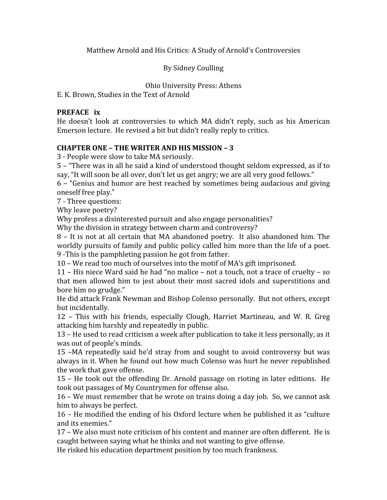Matthew
Arnold
and
His
Critics:
A
Study
of
Arnold's
Controversies

By
Sidney
Coulling

Ohio
University
Press:
Athens

E.
K.
Brown,
Studies
in
the
Text
of
Arnold

#### **PREFACE** ix

He doesn't look at controversies to which MA didn't reply, such as his American Emerson lecture. He revised a bit but didn't really reply to critics.

### **CHAPTER
ONE
–
THE
WRITER
AND
HIS
MISSION
–
3**

3
‐
People
were
slow
to
take
MA
seriously.

5
–
"There
was
in
all
he
said
a
kind
of
understood
thought
seldom
expressed,
as
if
to say, "It will soon be all over, don't let us get angry; we are all very good fellows."

6
–
"Genius
and
humor
are
best
reached
by
sometimes
being
audacious
and
giving oneself
free
play."

7
‐
Three
questions:

Why
leave
poetry?

Why profess a disinterested pursuit and also engage personalities?

Why the division in strategy between charm and controversy?

8 – It is not at all certain that MA abandoned poetry. It also abandoned him. The worldly pursuits of family and public policy called him more than the life of a poet. 9
‐This
is
the
pamphleting
passion
he
got
from
father.

10 - We read too much of ourselves into the motif of MA's gift imprisoned.

11
–
His
niece
Ward
said
he
had
"no
malice
–
not
a
touch,
not
a
trace
of
cruelty
–
so that men allowed him to jest about their most sacred idols and superstitions and bore
him
no
grudge."

He
did
attack
Frank
Newman
and
Bishop
Colenso
personally.

But
not
others,
except but
incidentally.

12 –
 This
 with
 his
 friends,
 especially
 Clough,
 Harriet
 Martineau,
 and
 W.
 R.
 Greg attacking
him
harshly
and
repeatedly
in
public.

13
–
He
used
to
read
criticism
a
week
after
publication
to
take
it
less
personally,
as
it was
out
of
people's
minds.

15 –MA
 repeatedly
 said
 he'd
 stray
 from
 and
 sought
 to
 avoid
 controversy
 but
 was always
in
it.
When
he
found
out
how
much
Colenso
was
hurt
he
never
republished the
work
that
gave
offense.

15
–
He
 took
out
 the
offending
Dr.
Arnold
passage
on
rioting
in
later
editions.

He took
out
passages
of
My
Countrymen
for
offense
also.

16
–
We
must
remember
that
he
wrote
on
trains
doing
a
day
job.

So,
we
cannot
ask him
to
always
be
perfect.

16
–
He
modified
the
ending
of
his
Oxford
lecture
when
he
published
it
as
"culture and
its
enemies."

17
–
We
also
must
note
criticism
of
his
content
and
manner
are
often
different.

He
is caught
between
saying
what
he
thinks
and
not
wanting
to
give
offense.

He
risked
his
education
department
position
by
too
much
frankness.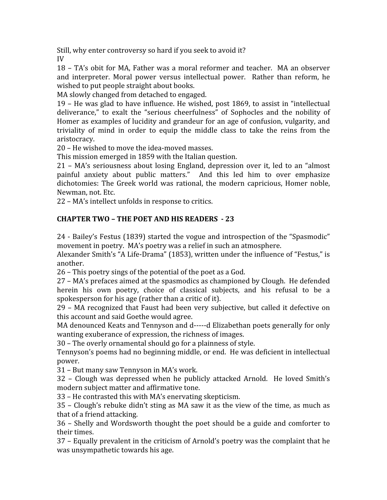Still, why enter controversy so hard if you seek to avoid it? IV

18
–
TA's
obit
 for
MA,
Father
was
a
moral
 reformer
and
 teacher.

MA
an
observer and interpreter. Moral power versus intellectual power. Rather than reform, he wished
to
put
people
straight
about
books.

MA
slowly
changed
from
detached
to
engaged.

19
–
He
was
glad
 to
have
influence.
He
wished,
post
1869,
 to
assist
in
"intellectual deliverance," to exalt the "serious cheerfulness" of Sophocles and the nobility of Homer
as
examples
of
lucidity
and
grandeur
 for
an
age
of
confusion,
vulgarity,
and triviality of mind in order to equip the middle class to take the reins from the aristocracy.

20
–
He
wished
to
move
the
idea‐moved
masses.

This
mission
emerged
in
1859
with
the
Italian
question.

21 –
MA's
 seriousness
 about
losing
 England,
 depression
 over
it,
led
 to
 an
 "almost painful anxiety about public matters." And this led him to over emphasize dichotomies: The Greek world was rational, the modern capricious, Homer noble, Newman,
not.
Etc.

22
–
MA's
intellect
unfolds
in
response
to
critics.

## **CHAPTER
TWO
–
THE
POET
AND
HIS
READERS

23**

24
‐
Bailey's
Festus
(1839)
started
the
vogue
and
introspection
of
the
"Spasmodic" movement
in
poetry.

MA's
poetry
was
a
relief
in
such
an
atmosphere.

Alexander
Smith's
"A
Life‐Drama"
(1853),
written
under
the
influence
of
"Festus,"
is another.

26
–
This
poetry
sings
of
the
potential
of
the
poet
as
a
God.

27
–
MA's
prefaces
aimed
at
the
spasmodics
as
championed
by
Clough.

He
defended herein his own poetry, choice of classical subjects, and his refusal to be a spokesperson
for
his
age
(rather
than
a
critic
of
it).

29 - MA recognized that Faust had been very subjective, but called it defective on this
account
and
said
Goethe
would
agree.

MA denounced Keats and Tennyson and d-----d Elizabethan poets generally for only wanting exuberance of expression, the richness of images.

30
–
The
overly
ornamental
should
go
for
a
plainness
of
style.

Tennyson's
poems
had
no
beginning
middle,
or
end.

He
was
deficient
in
intellectual power.

31
–
But
many
saw
Tennyson
in
MA's
work.

32 –
 Clough
 was
 depressed
 when
 he
 publicly
 attacked
 Arnold.

 He
 loved
 Smith's modern
subject
matter
and
affirmative
tone.

33
–
He
contrasted
this
with
MA's
enervating
skepticism.

35
–
Clough's
rebuke
didn't
sting
as
MA
saw
it
as
 the
view
of
 the
 time,
as
much
as that
of
a
friend
attacking.

36
–
Shelly
and
Wordsworth
 thought
 the
poet
should
be
a
guide
and
comforter
 to their
times.

37
–
Equally
prevalent
in
the
criticism
of
Arnold's
poetry
was
the
complaint
that
he was
unsympathetic
towards
his
age.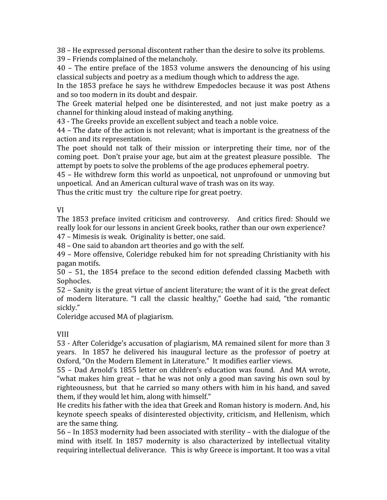38
–
He
expressed
personal
discontent
rather
than
the
desire
to
solve
its
problems.

39
–
Friends
complained
of
the
melancholy.

40 –
 The
 entire
 preface
 of
 the
 1853
 volume
 answers
 the
 denouncing
 of
 his
 using classical
subjects
and
poetry
as
a
medium
though
which
to
address
the
age.

In the 1853 preface he says he withdrew Empedocles because it was post Athens and
so
too
modern
in
its
doubt
and
despair.

The Greek material helped one be disinterested, and not just make poetry as a channel
for
thinking
aloud
instead
of
making
anything.

43
‐
The
Greeks
provide
an
excellent
subject
and
teach
a
noble
voice.

44
–
The
date
of
the
action
is
not
relevant;
what
is
important
is
the
greatness
of
the action
and
its
representation.

The poet should not talk of their mission or interpreting their time, nor of the coming
poet.

Don't
praise
your
age,
but
aim
at
the
greatest
pleasure
possible.

The attempt by poets to solve the problems of the age produces ephemeral poetry.

45
–
He
withdrew
 form
 this
world
as
unpoetical,
not
unprofound
or
unmoving
but unpoetical. And an American cultural wave of trash was on its way.

Thus the critic must try the culture ripe for great poetry.

### VI

The 1853 preface invited criticism and controversy. And critics fired: Should we really look for our lessons in ancient Greek books, rather than our own experience? 47
–
Mimesis
is
weak.

Originality
is
better,
one
said.

48
–
One
said
to
abandon
art
theories
and
go
with
the
self.

49
–
More
offensive,
Coleridge
rebuked
him
 for
not
spreading
Christianity
with
his pagan
motifs.

50 –
 51,
 the
 1854
 preface
 to
 the
 second
 edition
 defended
 classing
 Macbeth
 with Sophocles.

52
–
Sanity
is
the
great
virtue
of
ancient
literature;
the
want
of
it
is
the
great
defect of modern literature. "I call the classic healthy," Goethe had said, "the romantic sickly."

Coleridge
accused
MA
of
plagiarism.

### VIII

53
‐
After
Coleridge's
accusation
of
plagiarism,
MA
remained
silent
for
more
than
3 years. In 1857 he delivered his inaugural lecture as the professor of poetry at Oxford, "On the Modern Element in Literature." It modifies earlier views.

55
–
Dad
Arnold's
 1855
letter
 on
 children's
education
was
 found.

And
MA
wrote, "what makes him great – that he was not only a good man saving his own soul by righteousness, but that he carried so many others with him in his hand, and saved them, if they would let him, along with himself."

He credits his father with the idea that Greek and Roman history is modern. And, his keynote
speech
speaks
of
disinterested
objectivity,
criticism,
and
Hellenism,
which are
the
same
thing.

56
–
In
1853
modernity
had
been
associated
with
sterility
–
with
the
dialogue
of
the mind with itself. In 1857 modernity is also characterized by intellectual vitality requiring intellectual deliverance. This is why Greece is important. It too was a vital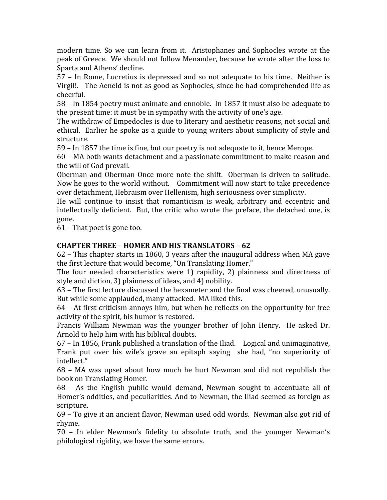modern time. So we can learn from it. Aristophanes and Sophocles wrote at the peak
of
Greece.

We
should
not
follow
Menander,
because
he
wrote
after
the
loss
to Sparta
and
Athens'
decline.

57 –
 In
 Rome,
 Lucretius
is
 depressed
 and
 so
not
 adequate
 to
 his
 time.

Neither
is Virgil! The Aeneid is not as good as Sophocles, since he had comprehended life as cheerful.

58
–
In
1854
poetry
must
animate
and
ennoble.

In
1857
it
must
also
be
adequate
to the
present
time:
it
must
be
in
sympathy
with
the
activity
of
one's
age.

The withdraw of Empedocles is due to literary and aesthetic reasons, not social and ethical. Earlier he spoke as a guide to young writers about simplicity of style and structure.

59
–
In
1857
the
time
is
fine,
but
our
poetry
is
not
adequate
to
it,
hence
Merope.

60
–
MA
both
wants
detachment
and
a
passionate
commitment
to
make
reason
and the
will
of
God
prevail.

Oberman and Oberman Once more note the shift. Oberman is driven to solitude. Now he goes to the world without. Commitment will now start to take precedence over
detachment,
Hebraism
over
Hellenism,
high
seriousness
over
simplicity.

He will continue to insist that romanticism is weak, arbitrary and eccentric and intellectually deficient. But, the critic who wrote the preface, the detached one, is gone.

61
–
That
poet
is
gone
too.

### **CHAPTER
THREE
–
HOMER
AND
HIS
TRANSLATORS
–
62**

62
–
This
chapter
starts
in
1860,
3
years
after
the
inaugural
address
when
MA
gave the
first
lecture
that
would
become,
"On
Translating
Homer."

The four needed characteristics were 1) rapidity, 2) plainness and directness of style
and
diction,
3)
plainness
of
ideas,
and
4)
nobility.

63
–
The
first
lecture
discussed
the
hexameter
and
the
final
was
cheered,
unusually. But while some applauded, many attacked. MA liked this.

64
–
At
first
criticism
annoys
him,
but
when
he
reflects
on
the
opportunity
for
free activity
of
the
spirit,
his
humor
is
restored.

Francis William Newman was the younger brother of John Henry. He asked Dr. Arnold
to
help
him
with
his
biblical
doubts.

67
–
In
1856,
Frank
published
a
translation
of
the
Iliad.

Logical
and
unimaginative, Frank put over his wife's grave an epitaph saying she had, "no superiority of intellect."

68 –
 MA
 was
 upset
 about
 how
 much
 he
 hurt
 Newman
 and
 did
 not
 republish
 the book
on
Translating
Homer.

68 –
 As
 the
 English
 public
 would
 demand,
 Newman
 sought
 to
 accentuate
 all
 of Homer's
oddities,
and
peculiarities.
And
to
Newman,
the
Iliad
seemed
as
foreign
as scripture.

69
– To
give
it
an
ancient
flavor,
Newman
used
odd
words.

Newman
also
got
rid
of rhyme.

70 –
 In
 elder
 Newman's
 fidelity
 to
 absolute
 truth,
 and
 the
 younger
 Newman's philological
rigidity,
we
have
the
same
errors.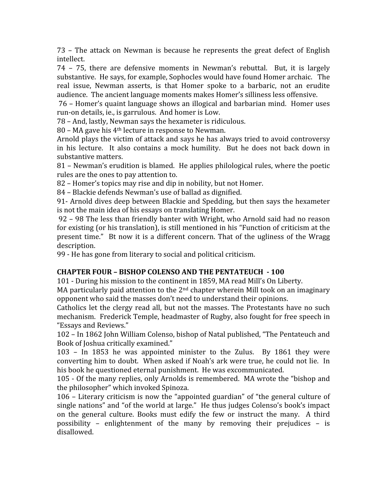73 –
 The
 attack
 on
 Newman
 is
 because
 he
 represents
 the
 great
 defect
 of
 English intellect.

74 –
 75,
 there
 are
 defensive
 moments
 in
 Newman's
 rebuttal.

 But,
 it
 is
 largely substantive. He says, for example, Sophocles would have found Homer archaic. The real issue, Newman asserts, is that Homer spoke to a barbaric, not an erudite audience.

The
ancient
language
moments
makes
Homer's
silliness
less
offensive.

76
–
Homer's
quaint
language
shows
an
illogical
and
barbarian
mind.

Homer
uses run-on details, ie., is garrulous. And homer is Low.

78
– And,
lastly,
Newman
says
the
hexameter
is
ridiculous.

80 – MA gave his 4<sup>th</sup> lecture in response to Newman.

Arnold plays the victim of attack and says he has always tried to avoid controversy in his lecture. It also contains a mock humility. But he does not back down in substantive
matters.

81 – Newman's erudition is blamed. He applies philological rules, where the poetic rules
are
the
ones
to
pay
attention
to.

82
–
Homer's
topics
may
rise
and
dip
in
nobility,
but
not
Homer.

84
–
Blackie
defends
Newman's
use
of
ballad
as
dignified.

91‐
Arnold
dives
deep
between
Blackie
and
Spedding,
but
then
says
the
hexameter is
not
the
main
idea
of
his
essays
on
translating
Homer.

92
–
98
The
less
than
friendly
banter
with
Wright,
who
Arnold
said
had
no
reason for
existing
(or
his
translation),
is
still
mentioned
in
his
"Function
of
criticism
at
the present time." Bt now it is a different concern. That of the ugliness of the Wragg description.

99
‐
He
has
gone
from
literary
to
social
and
political
criticism.

### **CHAPTER
FOUR
–
BISHOP
COLENSO
AND
THE
PENTATEUCH

100**

101
‐
During
his
mission
to
the
continent
in
1859,
MA
read
Mill's
On
Liberty.

MA particularly paid attention to the  $2<sup>nd</sup>$  chapter wherein Mill took on an imaginary opponent
who
said
the
masses
don't
need
to
understand
their
opinions.

Catholics let the clergy read all, but not the masses. The Protestants have no such mechanism.

Frederick
Temple,
headmaster
of
Rugby,
also
fought
for
free
speech
in "Essays
and
Reviews."

102
–
In
1862
John
William
Colenso,
bishop
of
Natal
published,
"The
Pentateuch
and Book
of
Joshua
critically
examined."

103 –
 In
 1853
 he
 was
 appointed
 minister
 to
 the
 Zulus.

 By
 1861
 they
 were converting him to doubt. When asked if Noah's ark were true, he could not lie. In his
book
he
questioned
eternal
punishment.

He
was
excommunicated.

105
‐
Of
the
many
replies,
only
Arnolds
is
remembered.

MA
wrote
the
"bishop
and the
philosopher"
which
invoked
Spinoza.

106 – Literary criticism is now the "appointed guardian" of "the general culture of single nations" and "of the world at large." He thus judges Colenso's book's impact on
 the
 general
 culture.
 Books
 must
 edify
 the
 few
 or
 instruct
 the
 many.

 A
 third possibility –
 enlightenment
 of
 the
 many
 by
 removing
 their
 prejudices –
 is disallowed.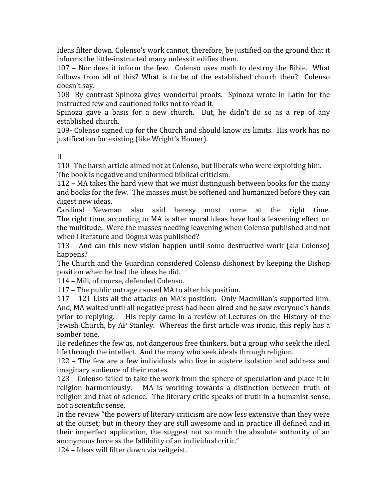Ideas filter down. Colenso's work cannot, therefore, be justified on the ground that it informs
the
little‐instructed
many
unless
it
edifies
them.

107 – Nor does it inform the few. Colenso uses math to destroy the Bible. What follows from all of this? What is to be of the established church then? Colenso doesn't
say.

108 By contrast Spinoza gives wonderful proofs. Spinoza wrote in Latin for the instructed
few
and
cautioned
folks
not
to
read
it.

Spinoza gave a basis for a new church. But, he didn't do so as a rep of any established
church.

109 Colenso signed up for the Church and should know its limits. His work has no justification
for
existing
(like
Wright's
Homer).

II

110 The harsh article aimed not at Colenso, but liberals who were exploiting him. The book is negative and uniformed biblical criticism.

112
–
MA
takes
the
hard
view
that
we
must
distinguish
between
books
for
the
many and books for the few. The masses must be softened and humanized before they can digest
new
ideas.

Cardinal Newman also said heresy must come at the right time. The right time, according to MA is after moral ideas have had a leavening effect on the multitude. Were the masses needing leavening when Colenso published and not when
Literature
and
Dogma
was
published?

113 –
 And
 can
 this
 new
 vision
 happen
 until
 some
 destructive
 work
 (ala
 Colenso) happens?

The Church and the Guardian considered Colenso dishonest by keeping the Bishop position
when
he
had
the
ideas
he
did.

114
–
Mill,
of
course,
defended
Colenso.

117
–
The
public
outrage
caused
MA
to
alter
his
position.

117
–
121
Lists
all
 the
attacks
on
MA's
position.

Only
Macmillan's
supported
him. And,
MA
waited
until
all
negative
press
had
been
aired
and
he
saw
everyone's
hands prior to replying. His reply came in a review of Lectures on the History of the Jewish
Church,
by
AP
Stanley.

Whereas
the
 first
article
was
ironic,
this
reply
has
a somber
tone.

He redefines the few as, not dangerous free thinkers, but a group who seek the ideal life through the intellect. And the many who seek ideals through religion.

122
–
The
 few
are
a
 few
individuals
who
live
in
austere
isolation
and
address
and imaginary
audience
of
their
mates.

123 – Colenso failed to take the work from the sphere of speculation and place it in religion harmoniously. MA is working towards a distinction between truth of religion and that of science. The literary critic speaks of truth in a humanist sense, not
a
scientific
sense.

In
the
review
"the
powers
of
literary
criticism
are
now
less
extensive
than
they
were at the outset; but in theory they are still awesome and in practice ill defined and in their imperfect application, the suggest not so much the absolute authority of an anonymous
force
as
the
fallibility
of
an
individual
critic."

124
–
Ideas
will
filter
down
via
zeitgeist.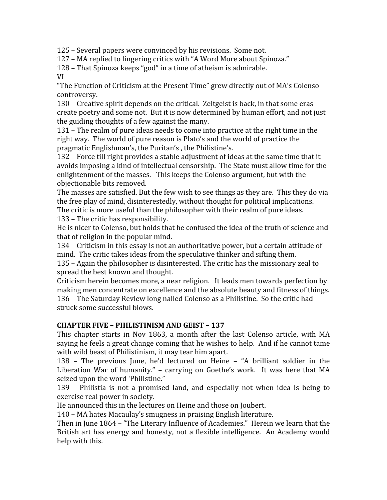125
–
Several
papers
were
convinced
by
his
revisions.

Some
not.

127 - MA replied to lingering critics with "A Word More about Spinoza."

128
–
That
Spinoza
keeps
"god"
in
a
time
of
atheism
is
admirable.

VI

"The Function of Criticism at the Present Time" grew directly out of MA's Colenso controversy.

130
–
Creative
spirit
depends
on
the
critical.

Zeitgeist
is
back,
in
that
some
eras create poetry and some not. But it is now determined by human effort, and not just the
guiding
thoughts
of
a
few
against
the
many.

131 – The realm of pure ideas needs to come into practice at the right time in the right way. The world of pure reason is Plato's and the world of practice the pragmatic
Englishman's,
the
Puritan's
,
the
Philistine's.

132 – Force till right provides a stable adjustment of ideas at the same time that it avoids imposing a kind of intellectual censorship. The State must allow time for the enlightenment of the masses. This keeps the Colenso argument, but with the objectionable
bits
removed.

The masses are satisfied. But the few wish to see things as they are. This they do via the
free
play
of
mind,
disinterestedly,
without
thought
for
political
implications. The critic is more useful than the philosopher with their realm of pure ideas. 133
–
The
critic
has
responsibility.

He is nicer to Colenso, but holds that he confused the idea of the truth of science and that
of
religion
in
the
popular
mind.

134 – Criticism in this essay is not an authoritative power, but a certain attitude of mind.

The
critic
takes
ideas
from
the
speculative
thinker
and
sifting
them.

135
–
Again
the
philosopher
is
disinterested.
The
critic
has
the
missionary
zeal
to spread
the
best
known
and
thought.

Criticism
herein
becomes
more,
a
near
religion.

It
leads
men
towards
perfection
by making men concentrate on excellence and the absolute beauty and fitness of things. 136
–
The
Saturday
Review
long
nailed
Colenso
as
a
Philistine.

So
the
critic
had struck
some
successful
blows.

### **CHAPTER
FIVE
–
PHILISTINISM
AND
GEIST
–
137**

This chapter starts in Nov 1863, a month after the last Colenso article, with MA saying he feels a great change coming that he wishes to help. And if he cannot tame with wild beast of Philistinism, it may tear him apart.

138 - The previous June, he'd lectured on Heine - "A brilliant soldier in the Liberation War of humanity." - carrying on Goethe's work. It was here that MA seized
upon
the
word
'Philistine."

139 – Philistia is not a promised land, and especially not when idea is being to exercise
real
power
in
society.

He
announced
this
in
the
lectures
on
Heine
and
those
on
Joubert.

140
–
MA
hates
Macaulay's
smugness
in
praising
English
literature.

Then in June 1864 – "The Literary Influence of Academies." Herein we learn that the British art has energy and honesty, not a flexible intelligence. An Academy would help
with
this.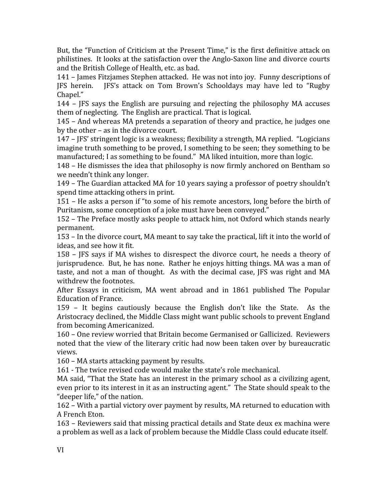But, the "Function of Criticism at the Present Time," is the first definitive attack on philistines. It looks at the satisfaction over the Anglo-Saxon line and divorce courts and
the
British
College
of
Health,
etc.
as
bad.

141
–
James
Fitzjames
Stephen
attacked.

He
was
not
into
joy.

Funny
descriptions
of JFS herein. JFS's attack on Tom Brown's Schooldays may have led to "Rugby Chapel."

144 –
 JFS
 says
 the
 English
 are
 pursuing
 and
 rejecting
 the
 philosophy
 MA
 accuses them
of
neglecting.

The
English
are
practical.
That
is
logical.

145
–
And
whereas
MA
pretends
a
separation
of
theory
and
practice,
he
judges
one by
the
other
–
as
in
the
divorce
court.

147
–
JFS'
stringent
logic
is
a
weakness;
flexibility
a
strength,
MA
replied.

"Logicians imagine truth something to be proved, I something to be seen; they something to be manufactured; I as something to be found." MA liked intuition, more than logic.

148
–
He
dismisses
the
idea
that
philosophy
is
now
firmly
anchored
on
Bentham
so we
needn't
think
any
longer.

149
–
The
Guardian
attacked
MA
for
10
years
saying
a
professor
of
poetry
shouldn't spend
time
attacking
others
in
print.

151
–
He
asks
a
person
if
"to
some
of
his
remote
ancestors,
long
before
the
birth
of Puritanism, some conception of a joke must have been conveyed."

152
–
The
Preface
mostly
asks
people
to
attack
him,
not
Oxford
which
stands
nearly permanent.

153
–
In
the
divorce
court,
MA
meant
to
say
take
the
practical,
lift
it
into
the
world
of ideas,
and
see
how
it
fit.

158 - IFS says if MA wishes to disrespect the divorce court, he needs a theory of jurisprudence. But, he has none. Rather he enjoys hitting things. MA was a man of taste, and not a man of thought. As with the decimal case, JFS was right and MA withdrew
the
footnotes.

After
 Essays
 in
 criticism,
 MA
 went
 abroad
 and
 in
 1861
 published
 The
 Popular Education
of
France.

159 –
 It
 begins
 cautiously
 because
 the
 English
 don't
 like
 the
 State.

 As
 the Aristocracy
declined,
the
Middle
Class
might
want
public
schools
to
prevent
England from
becoming
Americanized.

160
–
One
review
worried
that
Britain
become
Germanised
or
Gallicized.

Reviewers noted that the view of the literary critic had now been taken over by bureaucratic views.

160
–
MA
starts
attacking
payment
by
results.

161
‐
The
twice
revised
code
would
make
the
state's
role
mechanical.

MA said, "That the State has an interest in the primary school as a civilizing agent, even prior to its interest in it as an instructing agent." The State should speak to the "deeper
life,"
of
the
nation.

162
–
With
a
partial
victory
over
payment
by
results,
MA
returned
to
education
with A
French
Eton.

163
–
Reviewers
said
that
missing
practical
details
and
State
deux
ex
machina
were a problem as well as a lack of problem because the Middle Class could educate itself.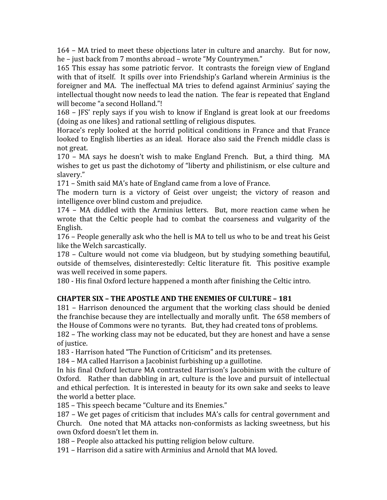164
–
MA
tried
to
meet
these
objections
later
in
culture
and
anarchy.

But
for
now, he - just back from 7 months abroad - wrote "My Countrymen."

165 This essay has some patriotic fervor. It contrasts the foreign view of England with that of itself. It spills over into Friendship's Garland wherein Arminius is the foreigner and MA. The ineffectual MA tries to defend against Arminius' saying the intellectual thought now needs to lead the nation. The fear is repeated that England will become "a second Holland."!

168 – IFS' reply says if you wish to know if England is great look at our freedoms (doing
as
one
likes)
and
rational
settling
of
religious
disputes.

Horace's reply looked at the horrid political conditions in France and that France looked to English liberties as an ideal. Horace also said the French middle class is not
great.

170 – MA says he doesn't wish to make England French. But, a third thing. MA wishes to get us past the dichotomy of "liberty and philistinism, or else culture and slavery."

171
–
Smith
said
MA's
hate
of
England
came
from
a
love
of
France.

The modern turn is a victory of Geist over ungeist; the victory of reason and intelligence
over
blind
custom
and
prejudice.

174 - MA diddled with the Arminius letters. But, more reaction came when he wrote that the Celtic people had to combat the coarseness and vulgarity of the English.

176 – People generally ask who the hell is MA to tell us who to be and treat his Geist like
the
Welch
sarcastically.

178
–
 Culture
would
 not
 come
 via
 bludgeon,
 but
 by
 studying
 something
 beautiful, outside of themselves, disinterestedly: Celtic literature fit. This positive example was
well
received
in
some
papers.

180
‐
His
final
Oxford
lecture
happened
a
month
after
finishing
the
Celtic
intro.

# CHAPTER SIX - THE APOSTLE AND THE ENEMIES OF CULTURE - 181

181 –
Harrison
 denounced
 the
 argument
 that
 the
 working
 class
 should
 be
 denied the franchise because they are intellectually and morally unfit. The 658 members of the
House
of
Commons
were
no
tyrants.

But,
they
had
created
tons
of
problems.

182 – The working class may not be educated, but they are honest and have a sense of
justice.

183
‐
Harrison
hated
"The
Function
of
Criticism"
and
its
pretenses.

184
–
MA
called
Harrison
a
Jacobinist
furbishing
up
a
guillotine.

In his final Oxford lecture MA contrasted Harrison's Jacobinism with the culture of Oxford. Rather than dabbling in art, culture is the love and pursuit of intellectual and
ethical
perfection.

It
is
interested
in
beauty
for
its
own
sake
and
seeks
to
leave the
world
a
better
place.

185
–
This
speech
became
"Culture
and
its
Enemies."

187
–
We
get
pages
of
criticism
that
includes
MA's
calls
for
central
government
and Church.

One
noted
 that
MA
attacks
non‐conformists
as
lacking
sweetness,
but
his own
Oxford
doesn't
let
them
in.

188
–
People
also
attacked
his
putting
religion
below
culture.

191
–
Harrison
did
a
satire
with
Arminius
and
Arnold
that
MA
loved.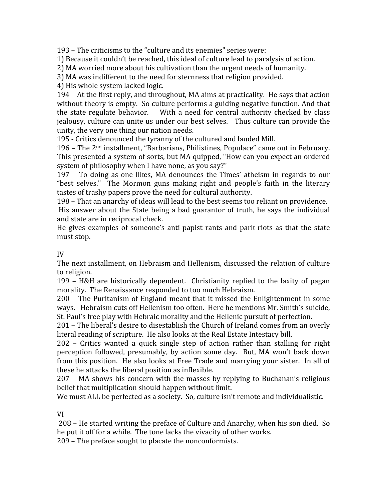193
–
The
criticisms
to
the
"culture
and
its
enemies"
series
were:

1)
Because
it
couldn't
be
reached,
this
ideal
of
culture
lead
to
paralysis
of
action.

2) MA worried more about his cultivation than the urgent needs of humanity.

3)
MA
was
indifferent
to
the
need
for
sternness
that
religion
provided.

4)
His
whole
system
lacked
logic.

194
–
At
the
first
reply,
and
throughout,
MA
aims
at
practicality.

He
says
that
action without theory is empty. So culture performs a guiding negative function. And that the state regulate behavior. With a need for central authority checked by class jealousy, culture can unite us under our best selves. Thus culture can provide the unity,
the
very
one
thing
our
nation
needs.

195
‐
Critics
denounced
the
tyranny
of
the
cultured
and
lauded
Mill.

196 - The 2<sup>nd</sup> installment, "Barbarians, Philistines, Populace" came out in February. This presented a system of sorts, but MA quipped, "How can you expect an ordered system of philosophy when I have none, as you say?"

197 –
 To
 doing
 as
 one
 likes,
 MA
 denounces
 the
 Times'
 atheism
 in
 regards
 to
 our "best selves." The Mormon guns making right and people's faith in the literary tastes
of
trashy
papers
prove
the
need
for
cultural
authority.

198
–
That
an
anarchy
of
ideas
will
lead
to
the
best
seems
too
reliant
on
providence. His answer about the State being a bad guarantor of truth, he says the individual and
state
are
in
reciprocal
check.

He gives examples of someone's anti-papist rants and park riots as that the state must
stop.

#### IV

The next installment, on Hebraism and Hellenism, discussed the relation of culture to
religion.

199 - H&H are historically dependent. Christianity replied to the laxity of pagan morality.

The
Renaissance
responded
to
too
much
Hebraism.

200
–
The
Puritanism
 of
England
meant
 that
it
missed
 the
Enlightenment
in
 some ways. Hebraism cuts off Hellenism too often. Here he mentions Mr. Smith's suicide, St.
Paul's
free
play
with
Hebraic
morality
and
the
Hellenic
pursuit
of
perfection.

201
–
The
liberal's
desire
to
disestablish
the
Church
of
Ireland
comes
from
an
overly literal reading of scripture. He also looks at the Real Estate Intestacy bill.

202 – Critics wanted a quick single step of action rather than stalling for right perception followed, presumably, by action some day. But, MA won't back down from this position. He also looks at Free Trade and marrying your sister. In all of these
he
attacks
the
liberal
position
as
inflexible.

207
–
MA
 shows
 his
 concern
with
 the
masses
 by
 replying
 to
 Buchanan's
 religious belief
that
multiplication
should
happen
without
limit.

We must ALL be perfected as a society. So, culture isn't remote and individualistic.

### VI

208
–
He
started
writing
the
preface
of
Culture
and
Anarchy,
when
his
son
died.

So he
put
it
off
for
a
while.

The
tone
lacks
the
vivacity
of
other
works.

209
–
The
preface
sought
to
placate
the
nonconformists.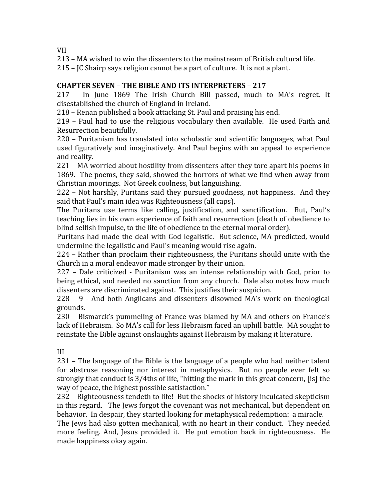VII

213
–
MA
wished
to
win
the
dissenters
to
the
mainstream
of
British
cultural
life.

215
–
JC
Shairp
says
religion
cannot
be
a
part
of
culture.

It
is
not
a
plant.

## **CHAPTER
SEVEN
–
THE
BIBLE
AND
ITS
INTERPRETERS
–
217**

217 - In June 1869 The Irish Church Bill passed, much to MA's regret. It disestablished
the
church
of
England
in
Ireland.

218
–
Renan
published
a
book
attacking
St.
Paul
and
praising
his
end.

219 - Paul had to use the religious vocabulary then available. He used Faith and Resurrection
beautifully.

220
–
Puritanism
has
 translated
into
scholastic
and
scientific
languages,
what
Paul used figuratively and imaginatively. And Paul begins with an appeal to experience and
reality.

221
–
MA
worried
about
hostility
from
dissenters
after
they
tore
apart
his
poems
in 1869.

The
poems,
they
said,
showed
the
horrors
of
what
we
find
when
away
from Christian
moorings.

Not
Greek
coolness,
but
languishing.

222 – Not harshly, Puritans said they pursued goodness, not happiness. And they said
that
Paul's
main
idea
was
Righteousness
(all
caps).

The Puritans use terms like calling, justification, and sanctification. But, Paul's teaching
lies
in
his
own
experience
of
faith
and
resurrection
(death
of
obedience
to blind selfish impulse, to the life of obedience to the eternal moral order).

Puritans had made the deal with God legalistic. But science, MA predicted, would undermine
the
legalistic
and
Paul's
meaning
would
rise
again.

224
–
Rather
than
proclaim
their
righteousness,
the
Puritans
should
unite
with
the Church
in
a
moral
endeavor
made
stronger
by
their
union.

227 –
 Dale
 criticized
‐
 Puritanism
 was
 an
 intense
 relationship
 with
 God,
 prior
 to being ethical, and needed no sanction from any church. Dale also notes how much dissenters are discriminated against. This justifies their suspicion.

228 – 9 - And both Anglicans and dissenters disowned MA's work on theological grounds.

230
–
Bismarck's
pummeling
of
France
was
blamed
by
MA
and
others
on
France's lack of Hebraism. So MA's call for less Hebraism faced an uphill battle. MA sought to reinstate the Bible against onslaughts against Hebraism by making it literature.

III

231
–
The
language
of
the
Bible
is
the
language
of
a
people
who
had
neither
talent for abstruse reasoning nor interest in metaphysics. But no people ever felt so strongly that conduct is 3/4ths of life, "hitting the mark in this great concern, [is] the way
of
peace,
the
highest
possible
satisfaction."

232 – Righteousness tendeth to life! But the shocks of history inculcated skepticism in
this
regard.

The
Jews
forgot
the
covenant
was
not
mechanical,
but
dependent
on behavior. In despair, they started looking for metaphysical redemption: a miracle.

The Jews had also gotten mechanical, with no heart in their conduct. They needed more feeling. And, Jesus provided it. He put emotion back in righteousness. He made
happiness
okay
again.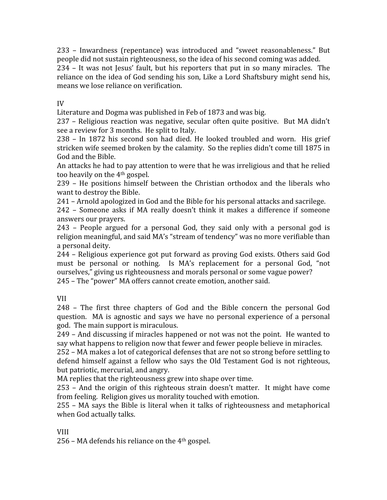233 –
 Inwardness
 (repentance)
 was
 introduced
 and
 "sweet
 reasonableness."
 But people
did
not
sustain
righteousness,
so
the
idea
of
his
second
coming
was
added.

234 – It was not Jesus' fault, but his reporters that put in so many miracles. The reliance on the idea of God sending his son, Like a Lord Shaftsbury might send his, means
we
lose
reliance
on
verification.

### IV

Literature
and
Dogma
was
published
in
Feb
of
1873
and
was
big.

237 – Religious reaction was negative, secular often quite positive. But MA didn't see
a
review
for
3
months.

He
split
to
Italy.

238 – In 1872 his second son had died. He looked troubled and worn. His grief stricken
wife
seemed
broken
by
the
calamity.

So
the
replies
didn't
come
till
1875
in God
and
the
Bible.

An attacks he had to pay attention to were that he was irreligious and that he relied too
heavily
on
the
4th
gospel.

239 –
 He
 positions
 himself
 between
 the
 Christian
 orthodox
 and
 the
 liberals
 who want
to
destroy
the
Bible.

241
–
Arnold
apologized
in
God
and
the
Bible
for
his
personal
attacks
and
sacrilege.

242 –
 Someone
 asks
 if
 MA
 really
 doesn't
 think
 it
 makes
 a
 difference
 if
 someone answers
our
prayers.

243 – People argued for a personal God, they said only with a personal god is religion meaningful, and said MA's "stream of tendency" was no more verifiable than a
personal
deity.

244
–
Religious
experience
got
put
 forward
as
proving
God
exists.
Others
said
God must be personal or nothing. Is MA's replacement for a personal God, "not ourselves," giving us righteousness and morals personal or some vague power? 245
–
The
"power"
MA
offers
cannot
create
emotion,
another
said.

VII

248 –
 The
 first
 three
 chapters
 of
 God
 and
 the
 Bible
 concern
 the
 personal
 God question. MA is agnostic and says we have no personal experience of a personal god.

The
main
support
is
miraculous.

249
–
And
discussing
if
miracles
happened
or
not
was
not
the
point.

He
wanted
to say what happens to religion now that fewer and fewer people believe in miracles.

252
–
MA
makes
a
lot
of
categorical
defenses
that
are
not
so
strong
before
settling
to defend himself against a fellow who says the Old Testament God is not righteous, but
patriotic,
mercurial,
and
angry.

MA replies that the righteousness grew into shape over time.

253 – And the origin of this righteous strain doesn't matter. It might have come from feeling. Religion gives us morality touched with emotion.

255 – MA says the Bible is literal when it talks of righteousness and metaphorical when
God
actually
talks.

### VIII

256
–
MA
defends
his
reliance
on
the
4th
gospel.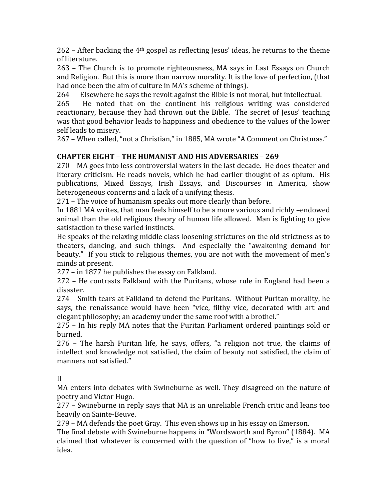262 – After backing the 4<sup>th</sup> gospel as reflecting Jesus' ideas, he returns to the theme of
literature.

263 – The Church is to promote righteousness, MA says in Last Essays on Church and Religion. But this is more than narrow morality. It is the love of perfection, (that had once been the aim of culture in MA's scheme of things).

264

–

Elsewhere
he
says
the
revolt
against
the
Bible
is
not
moral,
but
intellectual.

265 - He noted that on the continent his religious writing was considered reactionary, because they had thrown out the Bible. The secret of Jesus' teaching was that good behavior leads to happiness and obedience to the values of the lower self
leads
to
misery.

267 - When called, "not a Christian," in 1885, MA wrote "A Comment on Christmas."

# **CHAPTER
EIGHT
–
THE
HUMANIST
AND
HIS
ADVERSARIES
–
269**

270
–
MA
goes
into
less
controversial
waters
in
the
last
decade.

He
does
theater
and literary criticism. He reads novels, which he had earlier thought of as opium. His publications, Mixed Essays, Irish Essays, and Discourses in America, show heterogeneous concerns and a lack of a unifying thesis.

271
–
The
voice
of
humanism
speaks
out
more
clearly
than
before.

In 1881 MA writes, that man feels himself to be a more various and richly -endowed animal than the old religious theory of human life allowed. Man is fighting to give satisfaction to these varied instincts.

He
speaks
of
the
relaxing
middle
class
loosening
strictures
on
the
old
strictness
as
to theaters, dancing, and such things. And especially the "awakening demand for beauty." If you stick to religious themes, you are not with the movement of men's minds
at
present.

277
–
in
1877
he
publishes
the
essay
on
Falkland.

272 –
He
 contrasts
 Falkland
with
 the
 Puritans,
whose
 rule
in
 England
 had
 been
 a disaster.

274 – Smith tears at Falkland to defend the Puritans. Without Puritan morality, he says, the renaissance would have been "vice, filthy vice, decorated with art and elegant philosophy: an academy under the same roof with a brothel."

275
–
 In
his
reply
MA
notes
 that
 the
Puritan
Parliament
ordered
paintings
sold
or burned.

276 - The harsh Puritan life, he says, offers, "a religion not true, the claims of intellect and knowledge not satisfied, the claim of beauty not satisfied, the claim of manners
not
satisfied."

II

MA enters into debates with Swineburne as well. They disagreed on the nature of poetry
and
Victor
Hugo.

277
–
Swineburne
in
reply
says
that
MA
is
an
unreliable
French
critic
and
leans
too heavily
on
Sainte‐Beuve.

279
–
MA
defends
the
poet
Gray.

This
even
shows
up
in
his
essay
on
Emerson.

The
final
debate
with
Swineburne
happens
in
"Wordsworth
and
Byron"
(1884).

MA claimed that whatever is concerned with the question of "how to live," is a moral idea.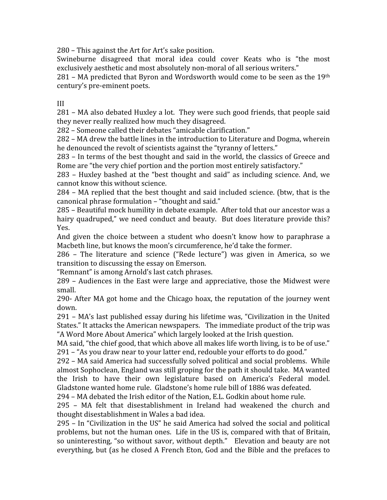280
–
This
against
the
Art
for
Art's
sake
position.

Swineburne disagreed that moral idea could cover Keats who is "the most exclusively aesthetic and most absolutely non-moral of all serious writers."

281 – MA predicted that Byron and Wordsworth would come to be seen as the 19th century's
pre‐eminent
poets.

III

281
–
MA
also
debated
Huxley
a
lot.

They
were
such
good
friends,
that
people
said they
never
really
realized
how
much
they
disagreed.

282
–
Someone
called
their
debates
"amicable
clarification."

282
–
MA
drew
the
battle
lines
in
the
introduction
to
Literature
and
Dogma,
wherein he denounced the revolt of scientists against the "tyranny of letters."

283
–
In
terms
of
the
best
thought
and
said
in
the
world,
the
classics
of
Greece
and Rome are "the very chief portion and the portion most entirely satisfactory."

283 – Huxley bashed at the "best thought and said" as including science. And, we cannot
know
this
without
science.

284 – MA replied that the best thought and said included science. (btw, that is the canonical
phrase
formulation
–
"thought
and
said."

285
–
Beautiful
mock
humility
in
debate
example.

After
told
that
our
ancestor
was
a hairy quadruped," we need conduct and beauty. But does literature provide this? Yes.

And given the choice between a student who doesn't know how to paraphrase a Macbeth
line,
but
knows
the
moon's
circumference,
he'd
take
the
former.

286 – The literature and science ("Rede lecture") was given in America, so we transition
to
discussing
the
essay
on
Emerson.

"Remnant"
is
among
Arnold's
last
catch
phrases.

289
–
Audiences
in
 the
 East
were
large
and
appreciative,
 those
 the
Midwest
were small.

290‐
After
MA
got
home
and
 the
Chicago
hoax,
 the
reputation
of
 the
journey
went down.

291
–
MA's
last
published
essay
during
his
lifetime
was,
 "Civilization
in
 the
United States." It attacks the American newspapers. The immediate product of the trip was "A
Word
More
About
America"
which
largely
looked
at
the
Irish
question.

MA said, "the chief good, that which above all makes life worth living, is to be of use." 291
–
"As
you
draw
near
to
your
latter
end,
redouble
your
efforts
to
do
good."

292
–
MA
said
America
had
successfully
solved
political
and
social
problems.

While almost
Sophoclean,
England
was
still
groping
for
the
path
it
should
take.

MA
wanted the Irish to have their own legislature based on America's Federal model. Gladstone wanted home rule. Gladstone's home rule bill of 1886 was defeated.

294
–
MA
debated
the
Irish
editor
of
the
Nation,
E.L.
Godkin
about
home
rule.

295 –
 MA
 felt
 that
 disestablishment
 in
 Ireland
 had
 weakened
 the
 church
 and thought
disestablishment
in
Wales
a
bad
idea.

295
–
In
"Civilization
in
the
US"
he
said
America
had
solved
the
social
and
political problems,
but
not
the
human
ones.

Life
in
the
US
is,
compared
with
that
of
Britain, so uninteresting, "so without savor, without depth." Elevation and beauty are not everything, but (as he closed A French Eton, God and the Bible and the prefaces to